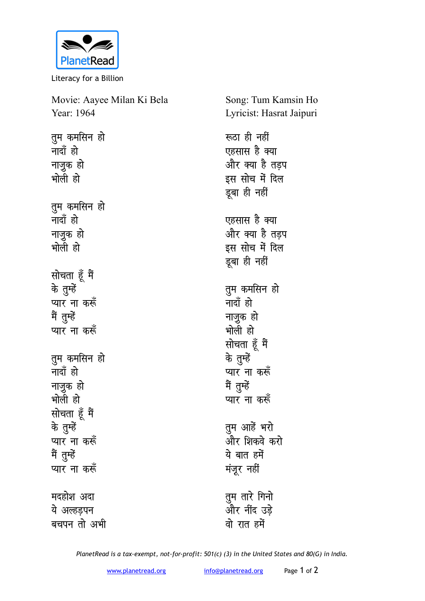

Literacy for a Billion

| Movie: Aayee Milan Ki Bela | Song: Tum Kamsin Ho      |
|----------------------------|--------------------------|
| Year: 1964                 | Lyricist: Hasrat Jaipuri |
| तुम कमसिन हो               | रूठा ही नहीं             |
| नादाँ हो                   | एहसास है क्या            |
| नाज़ुक हो                  | और क्या है तड़प          |
| भोली हो                    | इस सोच में दिल           |
|                            | डूबा ही नहीं             |
| तुम कमसिन हो               |                          |
| नादाँ हो                   | एहसास है क्या            |
| नाजुक हो                   | और क्या है तड़प          |
| भोली हो                    | इस सोच में दिल           |
|                            | डूबा ही नहीं             |
| सोचता हूँ मैं              |                          |
| के तुम्हें                 | तुम कमसिन हो             |
| प्यार ना करूँ              | नादाँ हो                 |
| मैं तुम्हें                | नाज़ूक हो                |
| प्यार ना करूँ              | भोली हो                  |
|                            | सोचता हूँ मैं            |
| तुम कमसिन हो               | के तुम्हें               |
| नादाँ हो                   | प्यार ना करूँ            |
| नाज़ुक हो                  | मैं तुम्हें              |
| भोली हो                    | प्यार ना करूँ            |
| सोचता हूँ मैं              |                          |
| के तुम्हें                 | तुम आहें भरो             |
| प्यार ना करूँ              | और शिकवे करो             |
| मैं तुम्हें                | ये बात हमें              |
| प्यार ना करूँ              | मंजूर नहीं               |
| मदहोश अदा                  | तुम तारे गिनो            |
| ये अल्हड़पन                | और नींद उड़े             |
| बचपन तो अभी                | वो रात हमें              |
|                            |                          |

*PlanetRead is a tax-exempt, not-for-profit: 501(c) (3) in the United States and 80(G) in India.*